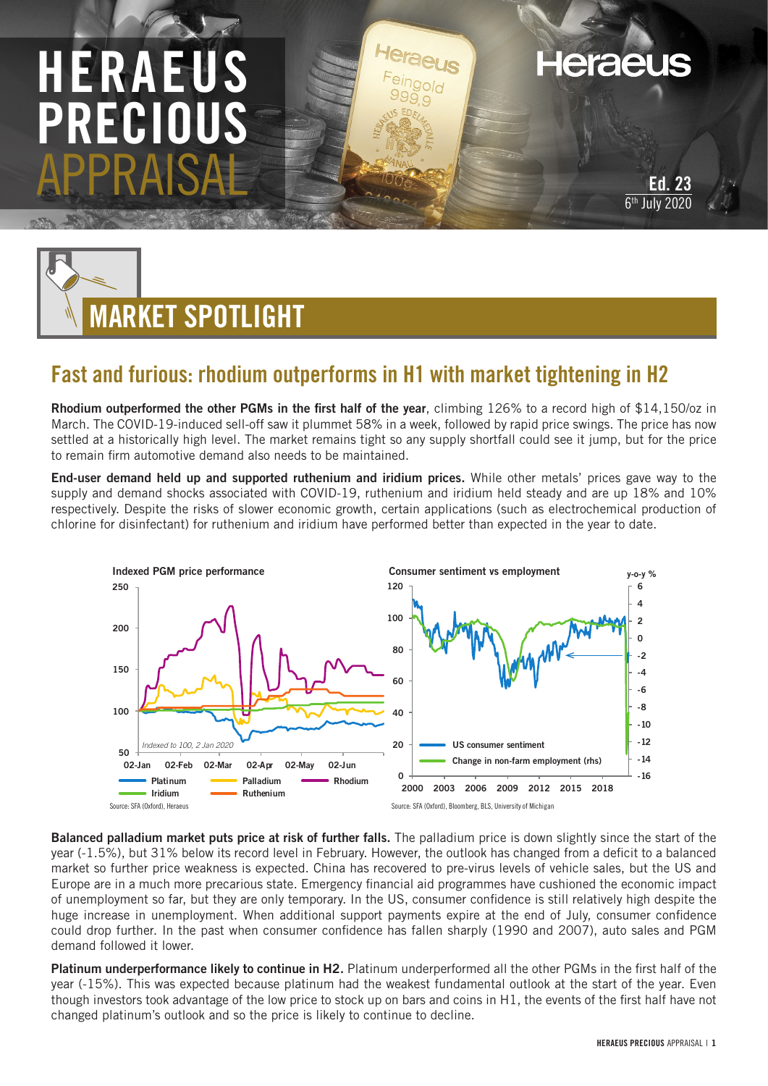## HERAEU PRECIOUS APPRAISAL

**Heraeus** 



## Fast and furious: rhodium outperforms in H1 with market tightening in H2

Rhodium outperformed the other PGMs in the first half of the year, climbing 126% to a record high of \$14,150/oz in March. The COVID-19-induced sell-off saw it plummet 58% in a week, followed by rapid price swings. The price has now settled at a historically high level. The market remains tight so any supply shortfall could see it jump, but for the price to remain firm automotive demand also needs to be maintained.

End-user demand held up and supported ruthenium and iridium prices. While other metals' prices gave way to the supply and demand shocks associated with COVID-19, ruthenium and iridium held steady and are up 18% and 10% respectively. Despite the risks of slower economic growth, certain applications (such as electrochemical production of chlorine for disinfectant) for ruthenium and iridium have performed better than expected in the year to date.



Balanced palladium market puts price at risk of further falls. The palladium price is down slightly since the start of the year (-1.5%), but 31% below its record level in February. However, the outlook has changed from a deficit to a balanced market so further price weakness is expected. China has recovered to pre-virus levels of vehicle sales, but the US and Europe are in a much more precarious state. Emergency financial aid programmes have cushioned the economic impact of unemployment so far, but they are only temporary. In the US, consumer confidence is still relatively high despite the huge increase in unemployment. When additional support payments expire at the end of July, consumer confidence could drop further. In the past when consumer confidence has fallen sharply (1990 and 2007), auto sales and PGM demand followed it lower.

Platinum underperformance likely to continue in H2. Platinum underperformed all the other PGMs in the first half of the year (-15%). This was expected because platinum had the weakest fundamental outlook at the start of the year. Even though investors took advantage of the low price to stock up on bars and coins in H1, the events of the first half have not changed platinum's outlook and so the price is likely to continue to decline.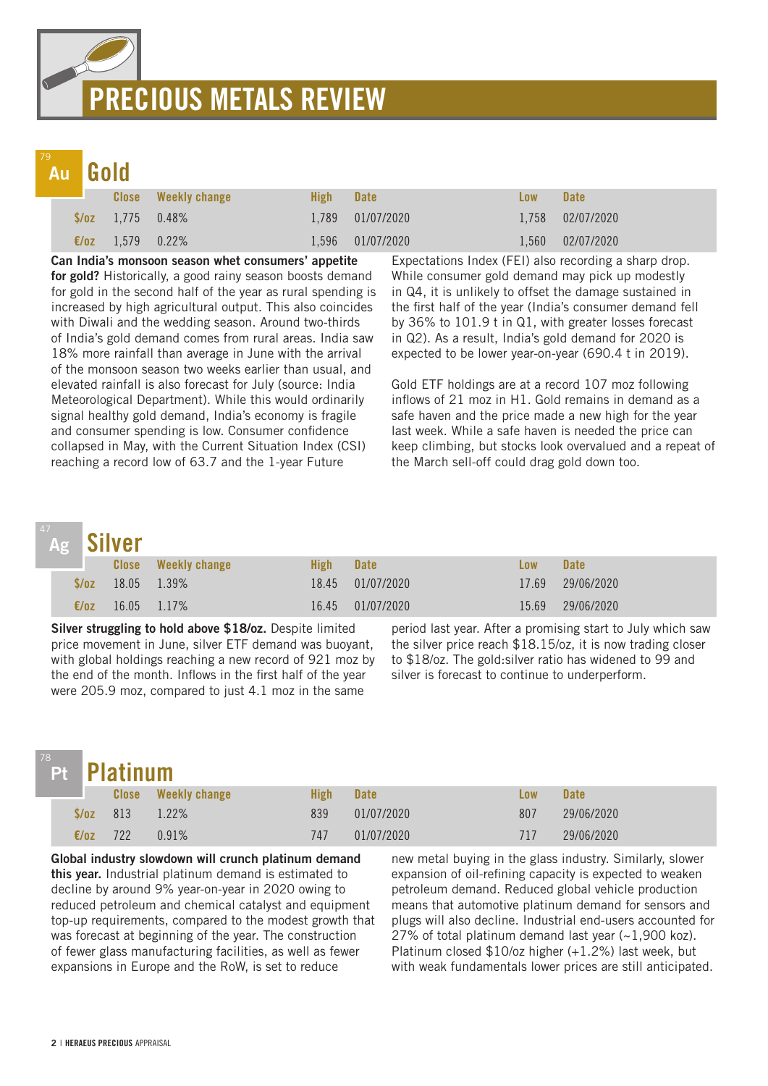## PRECIOUS METALS REVIEW

## Au

|                          | <b>Close</b> Weekly change | <b>High</b> | <b>Date</b>      | Low   | <b>Date</b>      |
|--------------------------|----------------------------|-------------|------------------|-------|------------------|
| $\sqrt{$6z}$ 1,775 0.48% |                            |             | 1,789 01/07/2020 |       | 1,758 02/07/2020 |
| €/oz 1,579 0.22%         |                            |             | 1,596 01/07/2020 | 1.560 | 02/07/2020       |

Can India's monsoon season whet consumers' appetite for gold? Historically, a good rainy season boosts demand for gold in the second half of the year as rural spending is increased by high agricultural output. This also coincides with Diwali and the wedding season. Around two-thirds of India's gold demand comes from rural areas. India saw 18% more rainfall than average in June with the arrival of the monsoon season two weeks earlier than usual, and elevated rainfall is also forecast for July (source: India Meteorological Department). While this would ordinarily signal healthy gold demand, India's economy is fragile and consumer spending is low. Consumer confidence collapsed in May, with the Current Situation Index (CSI) reaching a record low of 63.7 and the 1-year Future

Expectations Index (FEI) also recording a sharp drop. While consumer gold demand may pick up modestly in Q4, it is unlikely to offset the damage sustained in the first half of the year (India's consumer demand fell by 36% to 101.9 t in Q1, with greater losses forecast in Q2). As a result, India's gold demand for 2020 is expected to be lower year-on-year (690.4 t in 2019).

Gold ETF holdings are at a record 107 moz following inflows of 21 moz in H1. Gold remains in demand as a safe haven and the price made a new high for the year last week. While a safe haven is needed the price can keep climbing, but stocks look overvalued and a repeat of the March sell-off could drag gold down too.

## Ag

|  | Ag Silver      |              |                        |       |             |       |                  |  |
|--|----------------|--------------|------------------------|-------|-------------|-------|------------------|--|
|  |                | <b>Close</b> | <b>Weekly change</b>   | High  | <b>Date</b> | Low   | <b>Date</b>      |  |
|  |                |              | $\sqrt{2}$ 18.05 1.39% | 18.45 | 01/07/2020  |       | 17.69 29/06/2020 |  |
|  | $\epsilon$ /0Z | 16.05 1.17%  |                        | 16.45 | 01/07/2020  | 15.69 | 29/06/2020       |  |

Silver struggling to hold above \$18/oz. Despite limited price movement in June, silver ETF demand was buoyant, with global holdings reaching a new record of 921 moz by the end of the month. Inflows in the first half of the year were 205.9 moz, compared to just 4.1 moz in the same

period last year. After a promising start to July which saw the silver price reach \$18.15/oz, it is now trading closer to \$18/oz. The gold:silver ratio has widened to 99 and silver is forecast to continue to underperform.

|                 | Pt Platinum |                            |             |             |     |             |  |  |
|-----------------|-------------|----------------------------|-------------|-------------|-----|-------------|--|--|
|                 |             | <b>Close</b> Weekly change | <b>High</b> | <b>Date</b> | Low | <b>Date</b> |  |  |
| $\sqrt{oz}$ 813 |             | $1.22\%$                   | 839         | 01/07/2020  | 807 | 29/06/2020  |  |  |
| €/oz            | 722         | 0.91%                      | 747         | 01/07/2020  | 717 | 29/06/2020  |  |  |

Global industry slowdown will crunch platinum demand this year. Industrial platinum demand is estimated to decline by around 9% year-on-year in 2020 owing to reduced petroleum and chemical catalyst and equipment top-up requirements, compared to the modest growth that was forecast at beginning of the year. The construction of fewer glass manufacturing facilities, as well as fewer expansions in Europe and the RoW, is set to reduce

new metal buying in the glass industry. Similarly, slower expansion of oil-refining capacity is expected to weaken petroleum demand. Reduced global vehicle production means that automotive platinum demand for sensors and plugs will also decline. Industrial end-users accounted for 27% of total platinum demand last year  $(-1,900$  koz). Platinum closed \$10/oz higher (+1.2%) last week, but with weak fundamentals lower prices are still anticipated.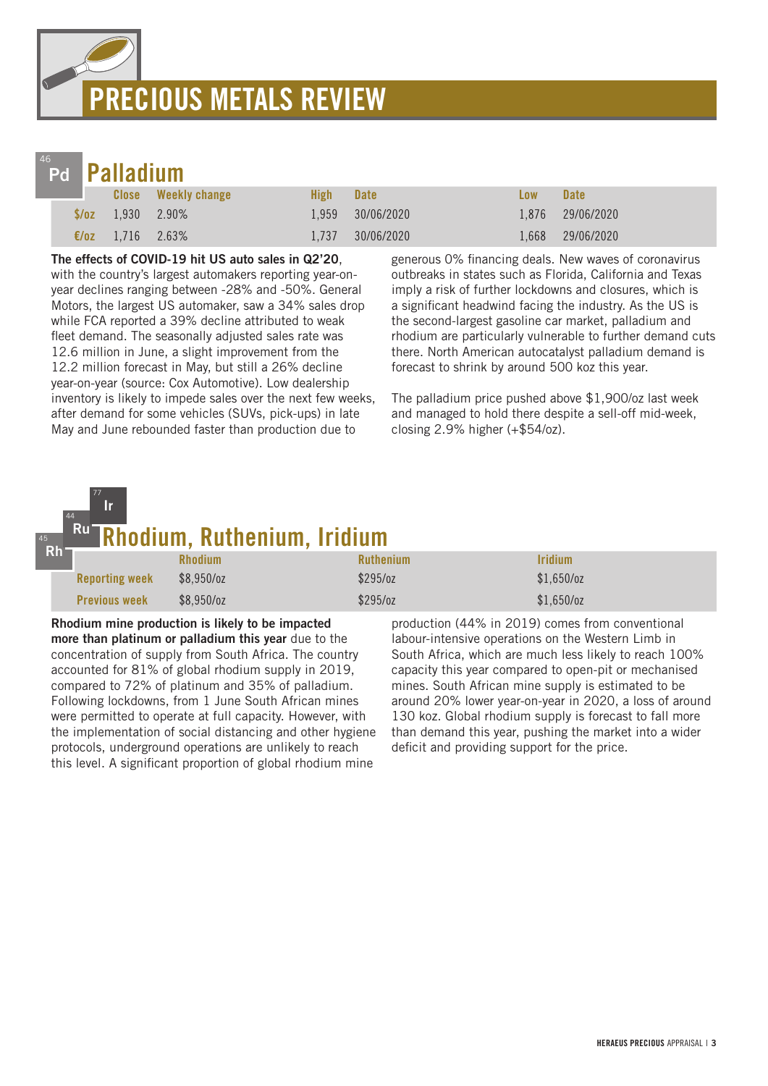# PRECIOUS METALS REVIEW



45

77 Ir

|                | d <b>Palladium</b>                                                                                                                                                                                                                                                                                                                |                            |       |                  |       |                  |  |  |
|----------------|-----------------------------------------------------------------------------------------------------------------------------------------------------------------------------------------------------------------------------------------------------------------------------------------------------------------------------------|----------------------------|-------|------------------|-------|------------------|--|--|
|                |                                                                                                                                                                                                                                                                                                                                   | <b>Close</b> Weekly change | High- | <b>Date</b>      | Low   | <b>Date</b>      |  |  |
|                | $\sqrt{2}$ , $\sqrt{2}$ , $\sqrt{2}$ , $\sqrt{2}$ , $\sqrt{2}$ , $\sqrt{2}$ , $\sqrt{2}$ , $\sqrt{2}$ , $\sqrt{2}$ , $\sqrt{2}$ , $\sqrt{2}$ , $\sqrt{2}$ , $\sqrt{2}$ , $\sqrt{2}$ , $\sqrt{2}$ , $\sqrt{2}$ , $\sqrt{2}$ , $\sqrt{2}$ , $\sqrt{2}$ , $\sqrt{2}$ , $\sqrt{2}$ , $\sqrt{2}$ , $\sqrt{2}$ , $\sqrt{2}$ , $\sqrt{2$ |                            |       | 1.959 30/06/2020 |       | 1.876 29/06/2020 |  |  |
| $\epsilon$ /0Z | 1.716 2.63%                                                                                                                                                                                                                                                                                                                       |                            | 1.737 | 30/06/2020       | 1.668 | 29/06/2020       |  |  |

#### The effects of COVID-19 hit US auto sales in Q2'20,

with the country's largest automakers reporting year-onyear declines ranging between -28% and -50%. General Motors, the largest US automaker, saw a 34% sales drop while FCA reported a 39% decline attributed to weak fleet demand. The seasonally adjusted sales rate was 12.6 million in June, a slight improvement from the 12.2 million forecast in May, but still a 26% decline year-on-year (source: Cox Automotive). Low dealership inventory is likely to impede sales over the next few weeks, after demand for some vehicles (SUVs, pick-ups) in late May and June rebounded faster than production due to

generous 0% financing deals. New waves of coronavirus outbreaks in states such as Florida, California and Texas imply a risk of further lockdowns and closures, which is a significant headwind facing the industry. As the US is the second-largest gasoline car market, palladium and rhodium are particularly vulnerable to further demand cuts there. North American autocatalyst palladium demand is forecast to shrink by around 500 koz this year.

The palladium price pushed above \$1,900/oz last week and managed to hold there despite a sell-off mid-week, closing 2.9% higher (+\$54/oz).

#### <del>.</del><br>hodium, Ruthenium, Iridium 44 Ru

| Rh <sub>1</sub> |                       |                |                  |                              |  |  |  |
|-----------------|-----------------------|----------------|------------------|------------------------------|--|--|--|
|                 |                       | <b>Rhodium</b> | <b>Ruthenium</b> | <i><u><b>Iridium</b></u></i> |  |  |  |
|                 | <b>Reporting week</b> | $$8,950$ /oz   | \$295/oz         | $$1,650$ /oz                 |  |  |  |
|                 | <b>Previous week</b>  | $$8,950$ /oz   | \$295/oz         | \$1,650/cz                   |  |  |  |

Rhodium mine production is likely to be impacted more than platinum or palladium this year due to the concentration of supply from South Africa. The country accounted for 81% of global rhodium supply in 2019, compared to 72% of platinum and 35% of palladium. Following lockdowns, from 1 June South African mines were permitted to operate at full capacity. However, with the implementation of social distancing and other hygiene protocols, underground operations are unlikely to reach this level. A significant proportion of global rhodium mine

production (44% in 2019) comes from conventional labour-intensive operations on the Western Limb in South Africa, which are much less likely to reach 100% capacity this year compared to open-pit or mechanised mines. South African mine supply is estimated to be around 20% lower year-on-year in 2020, a loss of around 130 koz. Global rhodium supply is forecast to fall more than demand this year, pushing the market into a wider deficit and providing support for the price.